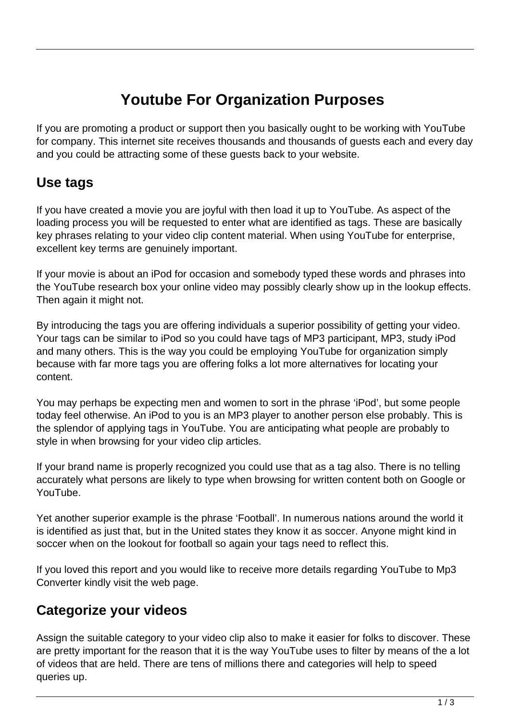# **Youtube For Organization Purposes**

If you are promoting a product or support then you basically ought to be working with YouTube for company. This internet site receives thousands and thousands of guests each and every day and you could be attracting some of these guests back to your website.

#### **Use tags**

If you have created a movie you are joyful with then load it up to YouTube. As aspect of the loading process you will be requested to enter what are identified as tags. These are basically key phrases relating to your video clip content material. When using YouTube for enterprise, excellent key terms are genuinely important.

If your movie is about an iPod for occasion and somebody typed these words and phrases into the YouTube research box your online video may possibly clearly show up in the lookup effects. Then again it might not.

By introducing the tags you are offering individuals a superior possibility of getting your video. Your tags can be similar to iPod so you could have tags of MP3 participant, MP3, study iPod and many others. This is the way you could be employing YouTube for organization simply because with far more tags you are offering folks a lot more alternatives for locating your content.

You may perhaps be expecting men and women to sort in the phrase 'iPod', but some people today feel otherwise. An iPod to you is an MP3 player to another person else probably. This is the splendor of applying tags in YouTube. You are anticipating what people are probably to style in when browsing for your video clip articles.

If your brand name is properly recognized you could use that as a tag also. There is no telling accurately what persons are likely to type when browsing for written content both on Google or YouTube.

Yet another superior example is the phrase 'Football'. In numerous nations around the world it is identified as just that, but in the United states they know it as soccer. Anyone might kind in soccer when on the lookout for football so again your tags need to reflect this.

If you loved this report and you would like to receive more details regarding YouTube to Mp3 Converter kindly visit the web page.

## **Categorize your videos**

Assign the suitable category to your video clip also to make it easier for folks to discover. These are pretty important for the reason that it is the way YouTube uses to filter by means of the a lot of videos that are held. There are tens of millions there and categories will help to speed queries up.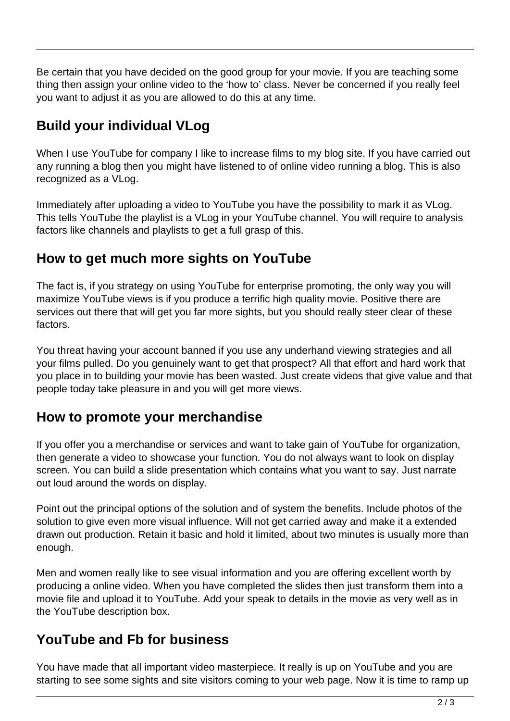Be certain that you have decided on the good group for your movie. If you are teaching some thing then assign your online video to the 'how to' class. Never be concerned if you really feel you want to adjust it as you are allowed to do this at any time.

## **Build your individual VLog**

When I use YouTube for company I like to increase films to my blog site. If you have carried out any running a blog then you might have listened to of online video running a blog. This is also recognized as a VLog.

Immediately after uploading a video to YouTube you have the possibility to mark it as VLog. This tells YouTube the playlist is a VLog in your YouTube channel. You will require to analysis factors like channels and playlists to get a full grasp of this.

#### **How to get much more sights on YouTube**

The fact is, if you strategy on using YouTube for enterprise promoting, the only way you will maximize YouTube views is if you produce a terrific high quality movie. Positive there are services out there that will get you far more sights, but you should really steer clear of these factors.

You threat having your account banned if you use any underhand viewing strategies and all your films pulled. Do you genuinely want to get that prospect? All that effort and hard work that you place in to building your movie has been wasted. Just create videos that give value and that people today take pleasure in and you will get more views.

#### **How to promote your merchandise**

If you offer you a merchandise or services and want to take gain of YouTube for organization, then generate a video to showcase your function. You do not always want to look on display screen. You can build a slide presentation which contains what you want to say. Just narrate out loud around the words on display.

Point out the principal options of the solution and of system the benefits. Include photos of the solution to give even more visual influence. Will not get carried away and make it a extended drawn out production. Retain it basic and hold it limited, about two minutes is usually more than enough.

Men and women really like to see visual information and you are offering excellent worth by producing a online video. When you have completed the slides then just transform them into a movie file and upload it to YouTube. Add your speak to details in the movie as very well as in the YouTube description box.

## **YouTube and Fb for business**

You have made that all important video masterpiece. It really is up on YouTube and you are starting to see some sights and site visitors coming to your web page. Now it is time to ramp up